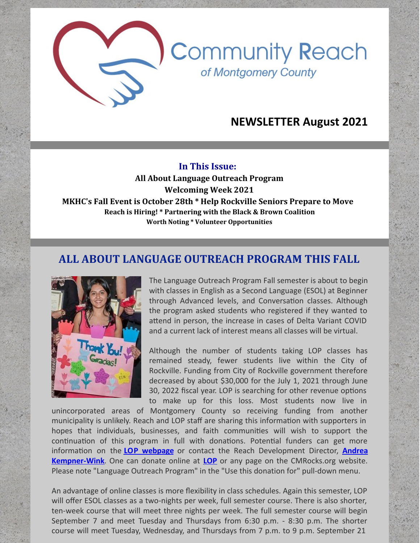## **NEWSLETTER August 2021**

**Community Reach** 

of Montgomery County

#### **In This Issue:**

**All About Language Outreach Program Welcoming Week 2021 MKHC's Fall Event is October 28th \* Help Rockville Seniors Prepare to Move Reach is Hiring! \* Partnering with the Black & Brown Coalition Worth Noting \* Volunteer Opportunities**

#### **ALL ABOUT LANGUAGE OUTREACH PROGRAM THIS FALL**



The Language Outreach Program Fall semester is about to begin with classes in English as a Second Language (ESOL) at Beginner through Advanced levels, and Conversation classes. Although the program asked students who registered if they wanted to attend in person, the increase in cases of Delta Variant COVID and a current lack of interest means all classes will be virtual.

Although the number of students taking LOP classes has remained steady, fewer students live within the City of Rockville. Funding from City of Rockville government therefore decreased by about \$30,000 for the July 1, 2021 through June 30, 2022 fiscal year. LOP is searching for other revenue options to make up for this loss. Most students now live in

unincorporated areas of Montgomery County so receiving funding from another municipality is unlikely. Reach and LOP staff are sharing this information with supporters in hopes that individuals, businesses, and faith communities will wish to support the continuation of this program in full with donations. Potential funders can get more informa!on on the **LOP [webpage](https://www.cmrocks.org/lop)** or contact the Reach Development Director, **Andrea [Kempner-Wink](mailto:andreakwink@cmrocks.org)**. One can donate online at **[LOP](https://www.cmrocks.org/lop)** or any page on the CMRocks.org website. Please note "Language Outreach Program" in the "Use this donation for" pull-down menu.

An advantage of online classes is more flexibility in class schedules. Again this semester, LOP will offer ESOL classes as a two-nights per week, full semester course. There is also shorter, ten-week course that will meet three nights per week. The full semester course will begin September 7 and meet Tuesday and Thursdays from 6:30 p.m. - 8:30 p.m. The shorter course will meet Tuesday, Wednesday, and Thursdays from 7 p.m. to 9 p.m. September 21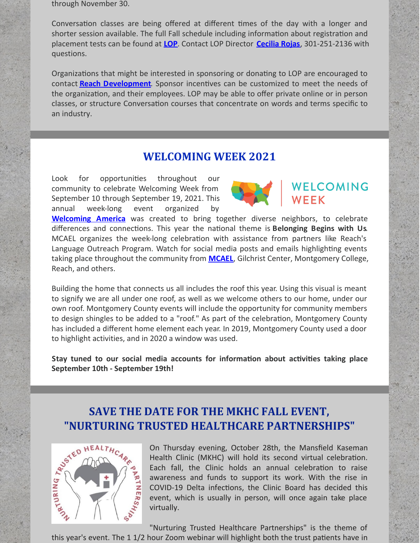through November 30.

Conversation classes are being offered at different times of the day with a longer and shorter session available. The full Fall schedule including information about registration and placement tests can be found at **[LOP](https://www.cmrocks.org/lop)**. Contact LOP Director **[Cecilia](mailto:crojas@cmrocks.org) Rojas**, 301-251-2136 with questions.

Organizations that might be interested in sponsoring or donating to LOP are encouraged to contact **Reach [Development](mailto:andreakwink@cmrocks.org)**. Sponsor incentives can be customized to meet the needs of the organization, and their employees. LOP may be able to offer private online or in person classes, or structure Conversation courses that concentrate on words and terms specific to an industry.

#### **WELCOMING WEEK 2021**

Look for opportunities throughout our community to celebrate Welcoming Week from September 10 through September 19, 2021. This annual week-long event organized by



# WELCOMING

**[Welcoming](https://welcomingamerica.org/initiatives/welcoming-week/) America** was created to bring together diverse neighbors, to celebrate differences and connec!ons. This year the na!onal theme is **Belonging Begins with Us**. MCAEL organizes the week-long celebration with assistance from partners like Reach's Language Outreach Program. Watch for social media posts and emails highlighting events taking place throughout the community from **[MCAEL](https://www.mcael.org/)**, Gilchrist Center, Montgomery College, Reach, and others.

Building the home that connects us all includes the roof this year. Using this visual is meant to signify we are all under one roof, as well as we welcome others to our home, under our own roof. Montgomery County events will include the opportunity for community members to design shingles to be added to a "roof." As part of the celebration, Montgomery County has included a different home element each year. In 2019, Montgomery County used a door to highlight activities, and in 2020 a window was used.

**Stay tuned** to our social media accounts for information about activities taking place **September 10th - September 19th!**

# **"NURTURING TRUSTED HEALTHCARE PARTNERSHIPS"**



**SAVE THE DATE FOR THE MKHC FALL EVENT,**<br>
"NURTURING TRUSTED HEALTHCARE PARTNERSH<br>  $\frac{1}{2}$  on Thursday evening, October 28th, the Mansfield<br>  $\frac{1}{2}$  and the linic (MKHC) will hold its second virtual c<br>  $\frac{1}{2}$  and f On Thursday evening, October 28th, the Mansfield Kaseman Health Clinic (MKHC) will hold its second virtual celebration. Each fall, the Clinic holds an annual celebration to raise awareness and funds to support its work. With the rise in COVID-19 Delta infections, the Clinic Board has decided this event, which is usually in person, will once again take place virtually.

"Nurturing Trusted Healthcare Partnerships" is the theme of this year's event. The 11/2 hour Zoom webinar will highlight both the trust patients have in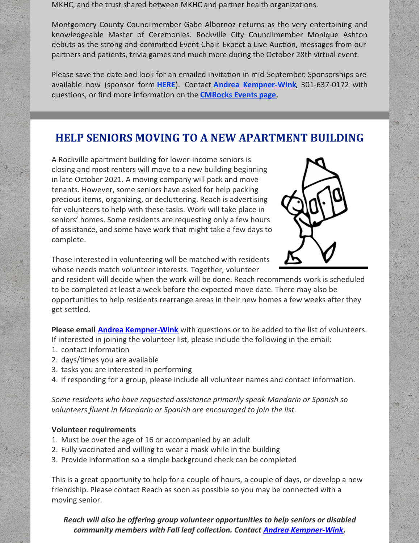MKHC, and the trust shared between MKHC and partner health organizations.

Montgomery County Councilmember Gabe Albornoz returns as the very entertaining and knowledgeable Master of Ceremonies. Rockville City Councilmember Monique Ashton debuts as the strong and committed Event Chair. Expect a Live Auction, messages from our partners and patients, trivia games and much more during the October 28th virtual event.

Please save the date and look for an emailed invitation in mid-September. Sponsorships are available now (sponsor form **[HERE](https://files.constantcontact.com/c267fd3d201/55d2e1e2-5a3a-481e-8e01-cc234a666402.pdf)**). Contact **Andrea [Kempner-Wink](mailto:andreakwink@cmrocks.org)**, 301-637-0172 with questions, or find more information on the **[CMRocks](https://www.cmrocks.org/events) Events page**.

## **HELP SENIORS MOVING TO A NEW APARTMENT BUILDING**

A Rockville apartment building for lower-income seniors is closing and most renters will move to a new building beginning in late October 2021. A moving company will pack and move tenants. However, some seniors have asked for help packing precious items, organizing, or decluttering. Reach is advertising for volunteers to help with these tasks. Work will take place in seniors' homes. Some residents are requesting only a few hours of assistance, and some have work that might take a few days to complete.



Those interested in volunteering will be matched with residents whose needs match volunteer interests. Together, volunteer

and resident will decide when the work will be done. Reach recommends work is scheduled to be completed at least a week before the expected move date. There may also be opportunities to help residents rearrange areas in their new homes a few weeks after they get settled.

**Please email Andrea [Kempner-Wink](mailto:andreakwink@cmrocks.org)** with questions or to be added to the list of volunteers. If interested in joining the volunteer list, please include the following in the email:

- 1. contact information
- 2. days/times you are available
- 3. tasks you are interested in performing
- 4. if responding for a group, please include all volunteer names and contact information.

*Some residents who have requested assistance primarily speak Mandarin or Spanish so volunteers fluent in Mandarin or Spanish are encouraged to join the list.*

#### **Volunteer requirements**

- 1. Must be over the age of 16 or accompanied by an adult
- 2. Fully vaccinated and willing to wear a mask while in the building
- 3. Provide information so a simple background check can be completed

This is a great opportunity to help for a couple of hours, a couple of days, or develop a new friendship. Please contact Reach as soon as possible so you may be connected with a moving senior.

*Reach will also be offering group volunteer opportunities to help seniors or disabled community members with Fall leaf collection. Contact Andrea [Kempner-Wink](mailto:andreakwink@cmrocks.org).*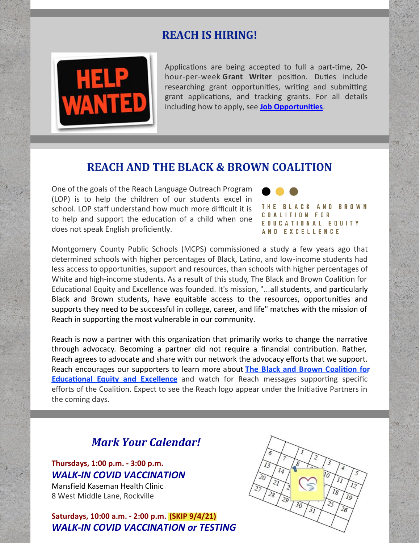### **REACH IS HIRING!**



Applications are being accepted to full a part-time, 20hour-per-week Grant Writer position. Duties include researching grant opportunities, writing and submitting grant applications, and tracking grants. For all details including how to apply, see **Job [Opportunities](https://www.cmrocks.org/jobs)**.

#### **REACH AND THE BLACK & BROWN COALITION**

One of the goals of the Reach Language Outreach Program (LOP) is to help the children of our students excel in school. LOP staff understand how much more difficult it is to help and support the education of a child when one does not speak English proficiently.



Montgomery County Public Schools (MCPS) commissioned a study a few years ago that determined schools with higher percentages of Black, Latino, and low-income students had less access to opportunities, support and resources, than schools with higher percentages of White and high-income students. As a result of this study, The Black and Brown Coalition for Educational Equity and Excellence was founded. It's mission, "...all students, and particularly Black and Brown students, have equitable access to the resources, opportunities and supports they need to be successful in college, career, and life" matches with the mission of Reach in supporting the most vulnerable in our community.

Reach is now a partner with this organization that primarily works to change the narrative through advocacy. Becoming a partner did not require a financial contribution. Rather, Reach agrees to advocate and share with our network the advocacy efforts that we support. Reach encourages our supporters to learn more about **The Black and Brown Coalition for Educational Equity and Excellence** and watch for Reach messages supporting specific efforts of the Coalition. Expect to see the Reach logo appear under the Initiative Partners in the coming days.

### *Mark Your Calendar!*

#### **Thursdays, 1:00 p.m. - 3:00 p.m.** *WALK-IN COVID VACCINATION*

Mansfield Kaseman Health Clinic 8 West Middle Lane, Rockville

**Saturdays, 10:00 a.m. - 2:00 p.m. (SKIP 9/4/21)** *WALK-IN COVID VACCINATION or TESTING*

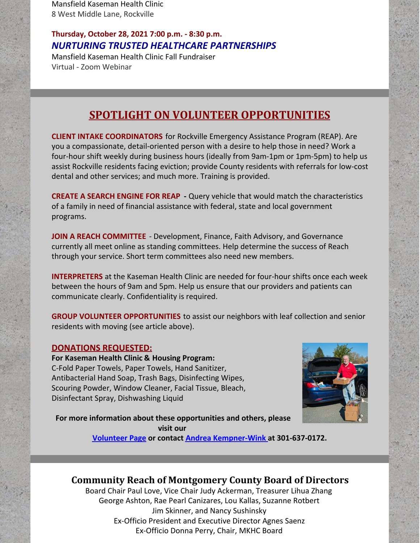Mansfield Kaseman Health Clinic 8 West Middle Lane, Rockville

#### **Thursday, October 28, 2021 7:00 p.m. - 8:30 p.m.** *NURTURING TRUSTED HEALTHCARE PARTNERSHIPS*

Mansfield Kaseman Health Clinic Fall Fundraiser Virtual - Zoom Webinar

## **SPOTLIGHT ON VOLUNTEER OPPORTUNITIES**

**CLIENT INTAKE COORDINATORS** for Rockville Emergency Assistance Program (REAP). Are you a compassionate, detail-oriented person with a desire to help those in need? Work a four-hour shift weekly during business hours (ideally from 9am-1pm or 1pm-5pm) to help us assist Rockville residents facing eviction; provide County residents with referrals for low-cost dental and other services; and much more. Training is provided.

**CREATE A SEARCH ENGINE FOR REAP -** Query vehicle that would match the characteristics of a family in need of financial assistance with federal, state and local government programs.

**JOIN A REACH COMMITTEE** - Development, Finance, Faith Advisory, and Governance currently all meet online as standing committees. Help determine the success of Reach through your service. Short term committees also need new members.

**INTERPRETERS** at the Kaseman Health Clinic are needed for four-hour shifts once each week between the hours of 9am and 5pm. Help us ensure that our providers and patients can communicate clearly. Confidentiality is required.

**GROUP VOLUNTEER OPPORTUNITIES** to assist our neighbors with leaf collection and senior residents with moving (see article above).

#### **DONATIONS REQUESTED:**

**For Kaseman Health Clinic & Housing Program:** C-Fold Paper Towels, Paper Towels, Hand Sanitizer, Antibacterial Hand Soap, Trash Bags, Disinfecting Wipes, Scouring Powder, Window Cleaner, Facial Tissue, Bleach, Disinfectant Spray, Dishwashing Liquid



**For more information about these opportunities and others, please visit our**

**[Volunteer](https://www.cmrocks.org/copy-of-volunteer) Page or contact Andrea [Kempner-Wink](mailto:andreakwink@cmrocks.org) at 301-637-0172.**

## **Community Reach of Montgomery County Board of Directors**

Board Chair Paul Love, Vice Chair Judy Ackerman, Treasurer Lihua Zhang George Ashton, Rae Pearl Canizares, Lou Kallas, Suzanne Rotbert Jim Skinner, and Nancy Sushinsky Ex-Officio President and Executive Director Agnes Saenz Ex-Officio Donna Perry, Chair, MKHC Board